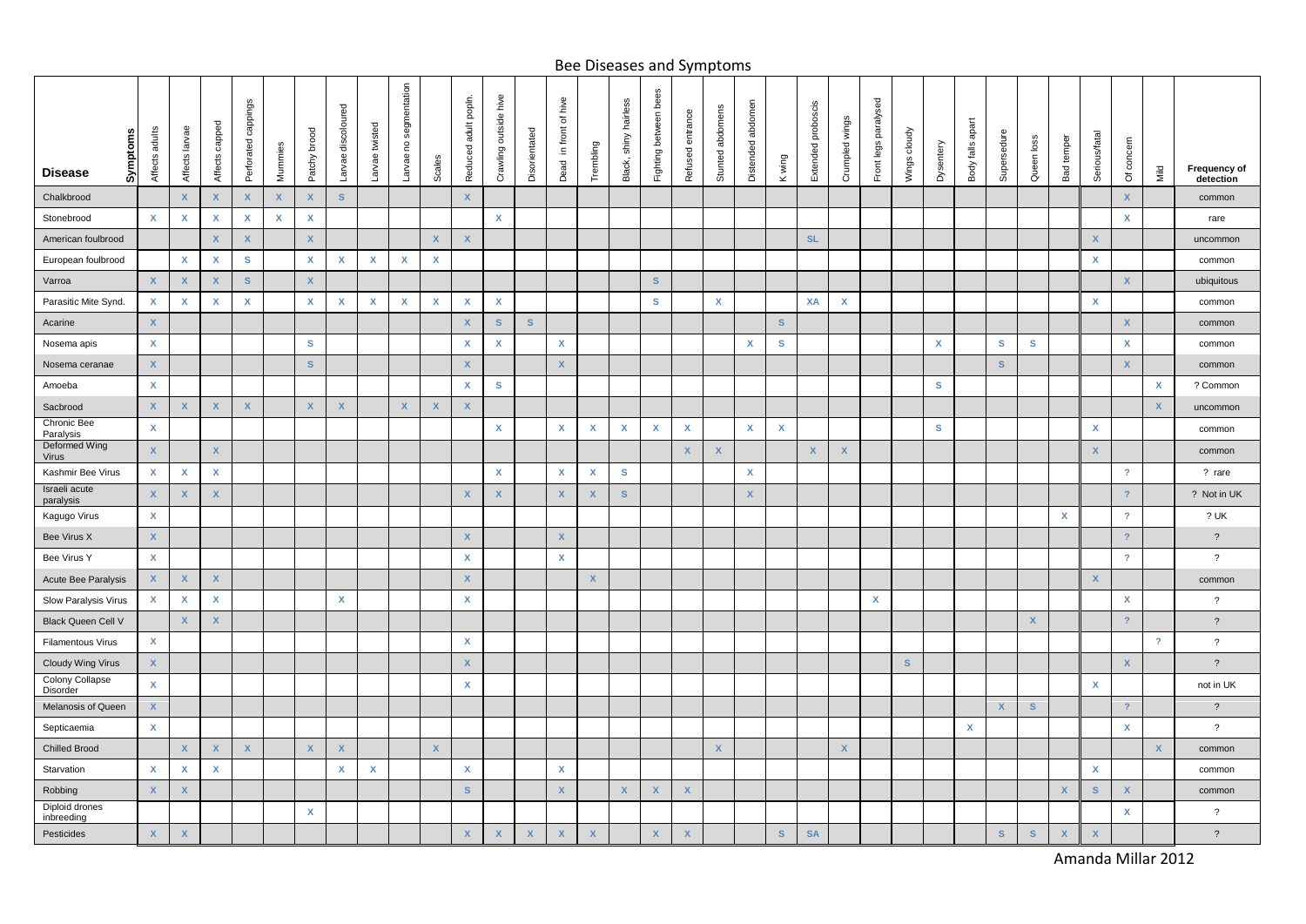## Bee Diseases and Symptoms

| Symptoms<br><b>Disease</b>   | Affects adults     | Affects larvae            | Affects capped     | Perforated cappings | Mummies      | Patchy brood | Larvae discoloured        | twisted<br>Larvae         | segmentation<br><sub>c</sub><br>Larvae | Scales                    | adult popln.<br>Reduced   | Crawling outside hive     | Disorientated           | Dead in front of hive     | Trembling                 | hairless<br>shiny<br>Black, | bees<br>Fighting between  | entrance<br>Refused     | abdomens<br>Stunted       | abdomen<br>Distended | wing<br>$\leq$     | Extended proboscis        | Crumpled wings | Front legs paralysed | Wings cloudy | Dysentery | apart<br>$\frac{d}{d}$<br>Body | Supersedur   | Queen loss   | temper<br>Bad             | Serious/fatal             | ā<br>ð                    | Mild                      | Frequency of<br>detection |
|------------------------------|--------------------|---------------------------|--------------------|---------------------|--------------|--------------|---------------------------|---------------------------|----------------------------------------|---------------------------|---------------------------|---------------------------|-------------------------|---------------------------|---------------------------|-----------------------------|---------------------------|-------------------------|---------------------------|----------------------|--------------------|---------------------------|----------------|----------------------|--------------|-----------|--------------------------------|--------------|--------------|---------------------------|---------------------------|---------------------------|---------------------------|---------------------------|
| Chalkbrood                   |                    | $\mathbf{x}$              | $\mathsf{X}$       | X                   | $\mathsf{X}$ | $\mathsf{x}$ | S                         |                           |                                        |                           | $\mathsf{x}$              |                           |                         |                           |                           |                             |                           |                         |                           |                      |                    |                           |                |                      |              |           |                                |              |              |                           |                           | $\boldsymbol{X}$          |                           | common                    |
| Stonebrood                   | $\mathbf{x}$       | $\boldsymbol{\mathsf{x}}$ | $\pmb{\mathsf{x}}$ | X                   | $\mathbf x$  | X            |                           |                           |                                        |                           |                           | $\mathbf{x}$              |                         |                           |                           |                             |                           |                         |                           |                      |                    |                           |                |                      |              |           |                                |              |              |                           |                           | $\pmb{\mathsf{X}}$        |                           | rare                      |
| American foulbrood           |                    |                           | $\mathsf{X}$       | X                   |              | $\mathbf{x}$ |                           |                           |                                        | $\mathbf x$               | $\mathsf{x}$              |                           |                         |                           |                           |                             |                           |                         |                           |                      |                    | <b>SL</b>                 |                |                      |              |           |                                |              |              |                           | $\mathbf{x}$              |                           |                           | uncommon                  |
| European foulbrood           |                    | $\mathsf{x}$              | $\mathsf{x}$       | s                   |              | X            | X                         | $\mathsf{x}$              | $\mathsf{x}$                           | X                         |                           |                           |                         |                           |                           |                             |                           |                         |                           |                      |                    |                           |                |                      |              |           |                                |              |              |                           | $\mathsf{x}$              |                           |                           | common                    |
| Varroa                       | $\mathsf X$        | $\mathsf{X}$              | X                  | S                   |              | $\mathbf x$  |                           |                           |                                        |                           |                           |                           |                         |                           |                           |                             | $\mathbf S$               |                         |                           |                      |                    |                           |                |                      |              |           |                                |              |              |                           |                           | $\mathbf x$               |                           | ubiquitous                |
| Parasitic Mite Synd.         | $\mathbf{x}$       | $\boldsymbol{\mathsf{X}}$ | x                  | x                   |              | X            | $\mathbf{x}$              | $\boldsymbol{\mathsf{x}}$ | X                                      | X                         | $\boldsymbol{\mathsf{x}}$ | $\mathbf{x}$              |                         |                           |                           |                             | $\mathbf{s}$              |                         | $\mathbf{x}$              |                      |                    | XA                        | $\mathbf{x}$   |                      |              |           |                                |              |              |                           | $\mathsf{x}$              |                           |                           | common                    |
| Acarine                      | $\mathsf X$        |                           |                    |                     |              |              |                           |                           |                                        |                           | $\pmb{\mathsf{X}}$        | $\mathbf S$               | S                       |                           |                           |                             |                           |                         |                           |                      | S                  |                           |                |                      |              |           |                                |              |              |                           |                           | $\overline{\mathsf{x}}$   |                           | common                    |
| Nosema apis                  | $\mathbf{x}$       |                           |                    |                     |              | $\mathbf{s}$ |                           |                           |                                        |                           | $\mathsf{x}$              | $\mathbf x$               |                         | $\boldsymbol{\mathsf{x}}$ |                           |                             |                           |                         |                           | x                    | $\mathbf{s}$       |                           |                |                      |              | x         |                                | $\mathbf{s}$ | $\mathbf{s}$ |                           |                           | X                         |                           | common                    |
| Nosema ceranae               | $\mathbf{x}$       |                           |                    |                     |              | $\mathbf{s}$ |                           |                           |                                        |                           | $\mathsf X$               |                           |                         | $\mathbf x$               |                           |                             |                           |                         |                           |                      |                    |                           |                |                      |              |           |                                | $\mathbf{s}$ |              |                           |                           | $\boldsymbol{\mathsf{x}}$ |                           | common                    |
| Amoeba                       | $\pmb{\mathsf{X}}$ |                           |                    |                     |              |              |                           |                           |                                        |                           | X                         | $\mathbf{s}$              |                         |                           |                           |                             |                           |                         |                           |                      |                    |                           |                |                      |              | s         |                                |              |              |                           |                           |                           | X                         | ? Common                  |
| Sacbrood                     | $\mathbf x$        | $\boldsymbol{\mathsf{x}}$ | $\mathbf x$        | X                   |              | $\mathbf{x}$ | $\boldsymbol{\mathsf{x}}$ |                           | $\mathbf{x}$                           | $\boldsymbol{\mathsf{x}}$ | $\pmb{\mathsf{X}}$        |                           |                         |                           |                           |                             |                           |                         |                           |                      |                    |                           |                |                      |              |           |                                |              |              |                           |                           |                           | $\boldsymbol{X}$          | uncommon                  |
| Chronic Bee<br>Paralysis     | $\pmb{\mathsf{X}}$ |                           |                    |                     |              |              |                           |                           |                                        |                           |                           | $\pmb{\mathsf{x}}$        |                         | X                         | X                         | $\pmb{\mathsf{x}}$          | $\pmb{\mathsf{x}}$        | $\pmb{\mathsf{X}}$      |                           | $\pmb{\mathsf{X}}$   | $\pmb{\mathsf{x}}$ |                           |                |                      |              | s         |                                |              |              |                           | $\boldsymbol{\mathsf{x}}$ |                           |                           | common                    |
| Deformed Wing<br>Virus       | $\mathsf X$        |                           | $\mathbf{x}$       |                     |              |              |                           |                           |                                        |                           |                           |                           |                         |                           |                           |                             |                           | $\mathbf x$             | $\mathbf x$               |                      |                    | $\boldsymbol{\mathsf{x}}$ | $\mathbf x$    |                      |              |           |                                |              |              |                           | $\mathbf{x}$              |                           |                           | common                    |
| Kashmir Bee Virus            | $\mathbf{x}$       | $\boldsymbol{\mathsf{x}}$ | $\mathsf{x}$       |                     |              |              |                           |                           |                                        |                           |                           | $\mathbf{x}$              |                         | X                         | x                         | $\mathbf{s}$                |                           |                         |                           | X                    |                    |                           |                |                      |              |           |                                |              |              |                           |                           | $\overline{?}$            |                           | ? rare                    |
| Israeli acute<br>paralysis   | $\mathsf X$        | X                         | X                  |                     |              |              |                           |                           |                                        |                           | X                         | $\pmb{\mathsf{X}}$        |                         | $\boldsymbol{\mathsf{x}}$ | $\boldsymbol{\mathsf{x}}$ | $\mathbf{s}$                |                           |                         |                           | X                    |                    |                           |                |                      |              |           |                                |              |              |                           |                           | $\overline{?}$            |                           | ? Not in UK               |
| Kagugo Virus                 | $\mathbf{x}$       |                           |                    |                     |              |              |                           |                           |                                        |                           |                           |                           |                         |                           |                           |                             |                           |                         |                           |                      |                    |                           |                |                      |              |           |                                |              |              | $\boldsymbol{\mathsf{x}}$ |                           | $\overline{?}$            |                           | ? UK                      |
| Bee Virus X                  | $\mathbf x$        |                           |                    |                     |              |              |                           |                           |                                        |                           | $\mathbf{x}$              |                           |                         | $\mathbf x$               |                           |                             |                           |                         |                           |                      |                    |                           |                |                      |              |           |                                |              |              |                           |                           | $\overline{?}$            |                           | $\overline{\phantom{0}}$  |
| Bee Virus Y                  | $\mathbf{x}$       |                           |                    |                     |              |              |                           |                           |                                        |                           | $\boldsymbol{\mathsf{X}}$ |                           |                         | $\pmb{\mathsf{X}}$        |                           |                             |                           |                         |                           |                      |                    |                           |                |                      |              |           |                                |              |              |                           |                           | $\overline{?}$            |                           | $\overline{?}$            |
| Acute Bee Paralysis          | $\mathbf{x}$       | $\boldsymbol{\mathsf{X}}$ | X.                 |                     |              |              |                           |                           |                                        |                           | $\mathbf{x}$              |                           |                         |                           | $\boldsymbol{\mathsf{X}}$ |                             |                           |                         |                           |                      |                    |                           |                |                      |              |           |                                |              |              |                           | $\mathsf{x}$              |                           |                           | common                    |
| Slow Paralysis Virus         | $\mathbf{x}$       | $\mathbf{x}$              | $\mathsf{x}$       |                     |              |              | $\mathbf{x}$              |                           |                                        |                           | $\mathbf{x}$              |                           |                         |                           |                           |                             |                           |                         |                           |                      |                    |                           |                | $\mathbf{x}$         |              |           |                                |              |              |                           |                           | X                         |                           | $\overline{?}$            |
| Black Queen Cell V           |                    | $\mathsf{X}$              | $\mathsf{X}$       |                     |              |              |                           |                           |                                        |                           |                           |                           |                         |                           |                           |                             |                           |                         |                           |                      |                    |                           |                |                      |              |           |                                |              | $\mathsf X$  |                           |                           | $\overline{2}$            |                           | $\overline{\phantom{a}}$  |
| Filamentous Virus            | $\mathbf{x}$       |                           |                    |                     |              |              |                           |                           |                                        |                           | X                         |                           |                         |                           |                           |                             |                           |                         |                           |                      |                    |                           |                |                      |              |           |                                |              |              |                           |                           |                           | $\overline{?}$            | $\overline{\phantom{0}}$  |
| Cloudy Wing Virus            | $\mathsf X$        |                           |                    |                     |              |              |                           |                           |                                        |                           | $\mathsf{X}$              |                           |                         |                           |                           |                             |                           |                         |                           |                      |                    |                           |                |                      | $\mathbf S$  |           |                                |              |              |                           |                           | $\mathsf{X}$              |                           | $\overline{\phantom{a}}$  |
| Colony Collapse<br>Disorder  | $\mathbf{x}$       |                           |                    |                     |              |              |                           |                           |                                        |                           | $\mathbf x$               |                           |                         |                           |                           |                             |                           |                         |                           |                      |                    |                           |                |                      |              |           |                                |              |              |                           | $\mathsf{x}$              |                           |                           | not in UK                 |
| Melanosis of Queen           | $\mathsf X$        |                           |                    |                     |              |              |                           |                           |                                        |                           |                           |                           |                         |                           |                           |                             |                           |                         |                           |                      |                    |                           |                |                      |              |           |                                | $\mathsf{X}$ | $\mathbf{s}$ |                           |                           | $\overline{\mathcal{L}}$  |                           | $\overline{\phantom{a}}$  |
| Septicaemia                  | $\pmb{\mathsf{X}}$ |                           |                    |                     |              |              |                           |                           |                                        |                           |                           |                           |                         |                           |                           |                             |                           |                         |                           |                      |                    |                           |                |                      |              |           | $\pmb{\mathsf{x}}$             |              |              |                           |                           | X                         |                           | $\overline{\phantom{a}}$  |
| <b>Chilled Brood</b>         |                    | $\mathsf X$               | X                  | X                   |              | $\mathsf X$  | X                         |                           |                                        | $\mathbf{x}$              |                           |                           |                         |                           |                           |                             |                           |                         | $\boldsymbol{\mathsf{x}}$ |                      |                    |                           | $\mathsf X$    |                      |              |           |                                |              |              |                           |                           |                           | $\boldsymbol{\mathsf{X}}$ | common                    |
| Starvation                   | $\pmb{\mathsf{X}}$ | $\pmb{\mathsf{x}}$        | X                  |                     |              |              | X                         | $\boldsymbol{\mathsf{x}}$ |                                        |                           | $\pmb{\mathsf{x}}$        |                           |                         | $\pmb{\mathsf{x}}$        |                           |                             |                           |                         |                           |                      |                    |                           |                |                      |              |           |                                |              |              |                           | $\boldsymbol{\mathsf{x}}$ |                           |                           | common                    |
| Robbing                      | $\mathbf{x}$       | $\boldsymbol{\mathsf{x}}$ |                    |                     |              |              |                           |                           |                                        |                           | $\mathbf{s}$              |                           |                         | $\mathbf{x}$              |                           | $\boldsymbol{X}$            | $\mathbf{x}$              | $\mathbf x$             |                           |                      |                    |                           |                |                      |              |           |                                |              |              | $\boldsymbol{\mathsf{X}}$ | $\mathbf{s}$              | $\mathbf{X}$              |                           | common                    |
| Diploid drones<br>inbreeding |                    |                           |                    |                     |              | x            |                           |                           |                                        |                           |                           |                           |                         |                           |                           |                             |                           |                         |                           |                      |                    |                           |                |                      |              |           |                                |              |              |                           |                           | x                         |                           | ?                         |
| Pesticides                   | $\mathsf X$        | $\overline{\mathsf{x}}$   |                    |                     |              |              |                           |                           |                                        |                           | X                         | $\boldsymbol{\mathsf{x}}$ | $\overline{\mathbf{x}}$ | $\boldsymbol{\mathsf{x}}$ | $\boldsymbol{\mathsf{x}}$ |                             | $\boldsymbol{\mathsf{x}}$ | $\overline{\mathbf{x}}$ |                           |                      | ${\bf s}$          | <b>SA</b>                 |                |                      |              |           |                                | $\mathbf S$  | S            | X                         |                           |                           |                           | $\overline{\phantom{a}}$  |

Amanda Millar 2012